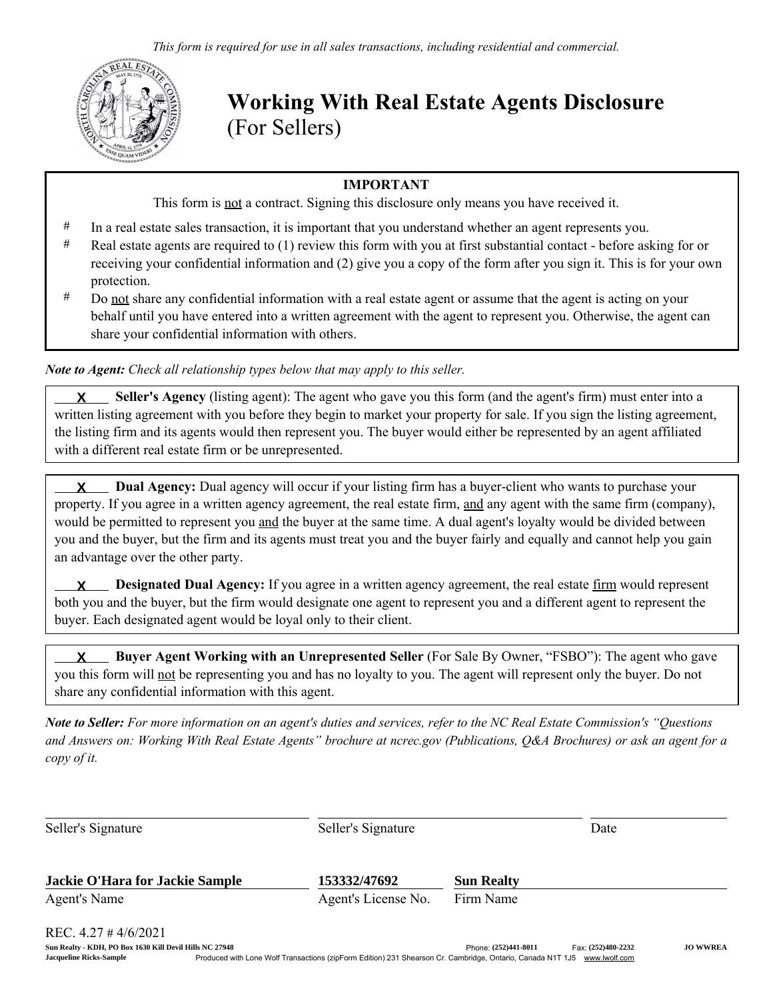

Working With Real Estate Agents Disclosure (For Sellers)

## IMPORTANT

This form is not a contract. Signing this disclosure only means you have received it.

- # In a real estate sales transaction, it is important that you understand whether an agent represents you.
- # Real estate agents are required to (1) review this form with you at first substantial contact before asking for or receiving your confidential information and (2) give you a copy of the form after you sign it. This is for your own protection.
- # Do not share any confidential information with a real estate agent or assume that the agent is acting on your behalf until you have entered into a written agreement with the agent to represent you. Otherwise, the agent can share your confidential information with others.

*Note to Agent: Check all relationship types below that may apply to this seller.*

 Seller's Agency (listing agent): The agent who gave you this form (and the agent's firm) must enter into a written listing agreement with you before they begin to market your property for sale. If you sign the listing agreement, the listing firm and its agents would then represent you. The buyer would either be represented by an agent affiliated with a different real estate firm or be unrepresented. **X**

 Dual Agency: Dual agency will occur if your listing firm has a buyer-client who wants to purchase your property. If you agree in a written agency agreement, the real estate firm, and any agent with the same firm (company), would be permitted to represent you and the buyer at the same time. A dual agent's loyalty would be divided between you and the buyer, but the firm and its agents must treat you and the buyer fairly and equally and cannot help you gain an advantage over the other party. **X**

**X** Designated Dual Agency: If you agree in a written agency agreement, the real estate firm would represent both you and the buyer, but the firm would designate one agent to represent you and a different agent to represent the buyer. Each designated agent would be loyal only to their client.

 Buyer Agent Working with an Unrepresented Seller (For Sale By Owner, "FSBO"): The agent who gave you this form will not be representing you and has no loyalty to you. The agent will represent only the buyer. Do not share any confidential information with this agent. **X**

*Note to Seller: For more information on an agent's duties and services, refer to the NC Real Estate Commission's "Questions and Answers on: Working With Real Estate Agents" brochure at ncrec.gov (Publications, Q&A Brochures) or ask an agent for a copy of it.*

| Seller's Signature                     | Seller's Signature  |                   | Date |
|----------------------------------------|---------------------|-------------------|------|
| <b>Jackie O'Hara for Jackie Sample</b> | 153332/47692        | <b>Sun Realty</b> |      |
| Agent's Name                           | Agent's License No. | Firm Name         |      |